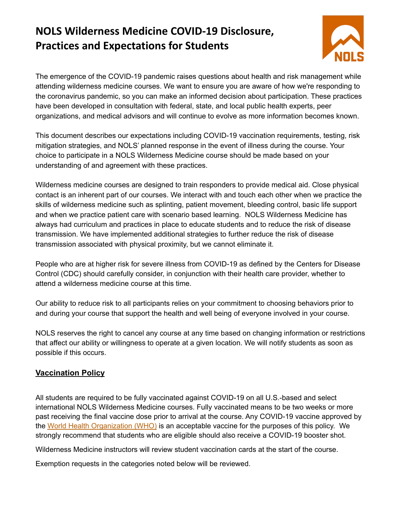# **NOLS Wilderness Medicine COVID-19 Disclosure, Practices and Expectations for Students**



The emergence of the COVID-19 pandemic raises questions about health and risk management while attending wilderness medicine courses. We want to ensure you are aware of how we're responding to the coronavirus pandemic, so you can make an informed decision about participation. These practices have been developed in consultation with federal, state, and local public health experts, peer organizations, and medical advisors and will continue to evolve as more information becomes known.

This document describes our expectations including COVID-19 vaccination requirements, testing, risk mitigation strategies, and NOLS' planned response in the event of illness during the course. Your choice to participate in a NOLS Wilderness Medicine course should be made based on your understanding of and agreement with these practices.

Wilderness medicine courses are designed to train responders to provide medical aid. Close physical contact is an inherent part of our courses. We interact with and touch each other when we practice the skills of wilderness medicine such as splinting, patient movement, bleeding control, basic life support and when we practice patient care with scenario based learning. NOLS Wilderness Medicine has always had curriculum and practices in place to educate students and to reduce the risk of disease transmission. We have implemented additional strategies to further reduce the risk of disease transmission associated with physical proximity, but we cannot eliminate it.

People who are at higher risk for severe illness from COVID-19 as defined by the Centers for Disease Control (CDC) should carefully consider, in conjunction with their health care provider, whether to attend a wilderness medicine course at this time.

Our ability to reduce risk to all participants relies on your commitment to choosing behaviors prior to and during your course that support the health and well being of everyone involved in your course.

NOLS reserves the right to cancel any course at any time based on changing information or restrictions that affect our ability or willingness to operate at a given location. We will notify students as soon as possible if this occurs.

# **Vaccination Policy**

All students are required to be fully vaccinated against COVID-19 on all U.S.-based and select international NOLS Wilderness Medicine courses. Fully vaccinated means to be two weeks or more past receiving the final vaccine dose prior to arrival at the course. Any COVID-19 vaccine approved by the World Health [Organization](https://covid19.trackvaccines.org/agency/who/) (WHO) is an acceptable vaccine for the purposes of this policy. We strongly recommend that students who are eligible should also receive a COVID-19 booster shot.

Wilderness Medicine instructors will review student vaccination cards at the start of the course.

Exemption requests in the categories noted below will be reviewed.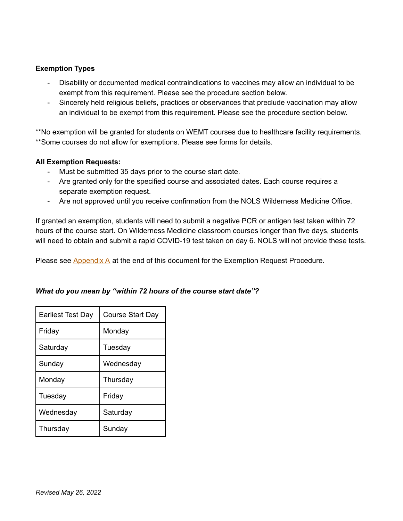#### **Exemption Types**

- Disability or documented medical contraindications to vaccines may allow an individual to be exempt from this requirement. Please see the procedure section below.
- Sincerely held religious beliefs, practices or observances that preclude vaccination may allow an individual to be exempt from this requirement. Please see the procedure section below.

\*\*No exemption will be granted for students on WEMT courses due to healthcare facility requirements. \*\*Some courses do not allow for exemptions. Please see forms for details.

#### **All Exemption Requests:**

- Must be submitted 35 days prior to the course start date.
- Are granted only for the specified course and associated dates. Each course requires a separate exemption request.
- Are not approved until you receive confirmation from the NOLS Wilderness Medicine Office.

If granted an exemption, students will need to submit a negative PCR or antigen test taken within 72 hours of the course start. On Wilderness Medicine classroom courses longer than five days, students will need to obtain and submit a rapid COVID-19 test taken on day 6. NOLS will not provide these tests.

Please see **[Appendix](#page-6-0) A** at the end of this document for the Exemption Request Procedure.

| <b>Earliest Test Day</b> | <b>Course Start Day</b> |
|--------------------------|-------------------------|
| Friday                   | Monday                  |
| Saturday                 | Tuesday                 |
| Sunday                   | Wednesday               |
| Monday                   | Thursday                |
| Tuesday                  | Friday                  |
| Wednesday                | Saturday                |
| Thursday                 | Sunday                  |

## *What do you mean by "within 72 hours of the course start date"?*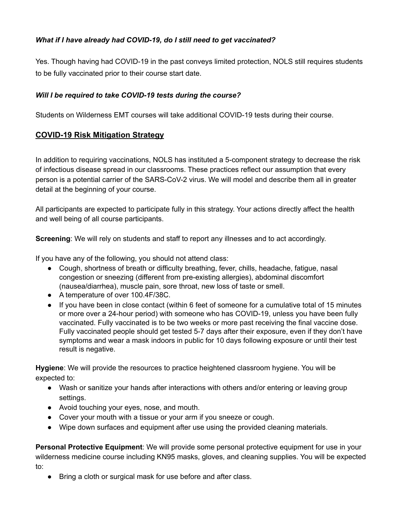# *What if I have already had COVID-19, do I still need to get vaccinated?*

Yes. Though having had COVID-19 in the past conveys limited protection, NOLS still requires students to be fully vaccinated prior to their course start date.

#### *Will I be required to take COVID-19 tests during the course?*

Students on Wilderness EMT courses will take additional COVID-19 tests during their course.

# **COVID-19 Risk Mitigation Strategy**

In addition to requiring vaccinations, NOLS has instituted a 5-component strategy to decrease the risk of infectious disease spread in our classrooms. These practices reflect our assumption that every person is a potential carrier of the SARS-CoV-2 virus. We will model and describe them all in greater detail at the beginning of your course.

All participants are expected to participate fully in this strategy. Your actions directly affect the health and well being of all course participants.

**Screening**: We will rely on students and staff to report any illnesses and to act accordingly.

If you have any of the following, you should not attend class:

- Cough, shortness of breath or difficulty breathing, fever, chills, headache, fatigue, nasal congestion or sneezing (different from pre-existing allergies), abdominal discomfort (nausea/diarrhea), muscle pain, sore throat, new loss of taste or smell.
- A temperature of over 100.4F/38C.
- If you have been in close contact (within 6 feet of someone for a cumulative total of 15 minutes or more over a 24-hour period) with someone who has COVID-19, unless you have been fully vaccinated. Fully vaccinated is to be two weeks or more past receiving the final vaccine dose. Fully vaccinated people should get tested 5-7 days after their exposure, even if they don't have symptoms and wear a mask indoors in public for 10 days following exposure or until their test result is negative.

**Hygiene**: We will provide the resources to practice heightened classroom hygiene. You will be expected to:

- Wash or sanitize your hands after interactions with others and/or entering or leaving group settings.
- Avoid touching your eyes, nose, and mouth.
- Cover your mouth with a tissue or your arm if you sneeze or cough.
- Wipe down surfaces and equipment after use using the provided cleaning materials.

**Personal Protective Equipment**: We will provide some personal protective equipment for use in your wilderness medicine course including KN95 masks, gloves, and cleaning supplies. You will be expected to:

● Bring a cloth or surgical mask for use before and after class.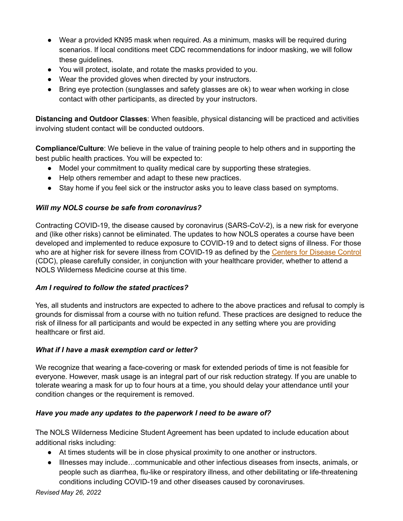- Wear a provided KN95 mask when required. As a minimum, masks will be required during scenarios. If local conditions meet CDC recommendations for indoor masking, we will follow these guidelines.
- You will protect, isolate, and rotate the masks provided to you.
- Wear the provided gloves when directed by your instructors.
- Bring eye protection (sunglasses and safety glasses are ok) to wear when working in close contact with other participants, as directed by your instructors.

**Distancing and Outdoor Classes**: When feasible, physical distancing will be practiced and activities involving student contact will be conducted outdoors.

**Compliance/Culture**: We believe in the value of training people to help others and in supporting the best public health practices. You will be expected to:

- Model your commitment to quality medical care by supporting these strategies.
- Help others remember and adapt to these new practices.
- Stay home if you feel sick or the instructor asks you to leave class based on symptoms.

# *Will my NOLS course be safe from coronavirus?*

Contracting COVID-19, the disease caused by coronavirus (SARS-CoV-2), is a new risk for everyone and (like other risks) cannot be eliminated. The updates to how NOLS operates a course have been developed and implemented to reduce exposure to COVID-19 and to detect signs of illness. For those who are at higher risk for severe illness from COVID-19 as defined by the Centers for [Disease](https://www.cdc.gov/coronavirus/2019-ncov/need-extra-precautions/people-at-higher-risk.html) Control (CDC), please carefully consider, in conjunction with your healthcare provider, whether to attend a NOLS Wilderness Medicine course at this time.

## *Am I required to follow the stated practices?*

Yes, all students and instructors are expected to adhere to the above practices and refusal to comply is grounds for dismissal from a course with no tuition refund. These practices are designed to reduce the risk of illness for all participants and would be expected in any setting where you are providing healthcare or first aid.

## *What if I have a mask exemption card or letter?*

We recognize that wearing a face-covering or mask for extended periods of time is not feasible for everyone. However, mask usage is an integral part of our risk reduction strategy. If you are unable to tolerate wearing a mask for up to four hours at a time, you should delay your attendance until your condition changes or the requirement is removed.

## *Have you made any updates to the paperwork I need to be aware of?*

The NOLS Wilderness Medicine Student Agreement has been updated to include education about additional risks including:

- At times students will be in close physical proximity to one another or instructors.
- Illnesses may include…communicable and other infectious diseases from insects, animals, or people such as diarrhea, flu-like or respiratory illness, and other debilitating or life-threatening conditions including COVID-19 and other diseases caused by coronaviruses.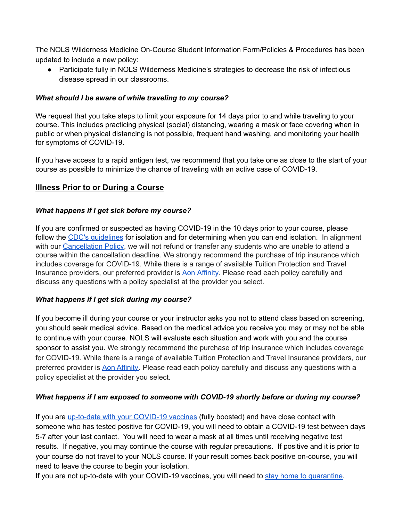The NOLS Wilderness Medicine On-Course Student Information Form/Policies & Procedures has been updated to include a new policy:

• Participate fully in NOLS Wilderness Medicine's strategies to decrease the risk of infectious disease spread in our classrooms.

#### *What should I be aware of while traveling to my course?*

We request that you take steps to limit your exposure for 14 days prior to and while traveling to your course. This includes practicing physical (social) distancing, wearing a mask or face covering when in public or when physical distancing is not possible, frequent hand washing, and monitoring your health for symptoms of COVID-19.

If you have access to a rapid antigen test, we recommend that you take one as close to the start of your course as possible to minimize the chance of traveling with an active case of COVID-19.

## **Illness Prior to or During a Course**

#### *What happens if I get sick before my course?*

If you are confirmed or suspected as having COVID-19 in the 10 days prior to your course, please follow the CDC's quidelines for isolation and for determining when you can end isolation. In alignment with our [Cancellation](https://www.nols.edu/en/wilderness-medicine/planning/policies/) Policy, we will not refund or transfer any students who are unable to attend a course within the cancellation deadline. We strongly recommend the purchase of trip insurance which includes coverage for COVID-19. While there is a range of available Tuition Protection and Travel Insurance providers, our preferred provider is Aon [Affinity](https://www.mdmgroup.net/nols). Please read each policy carefully and discuss any questions with a policy specialist at the provider you select.

#### *What happens if I get sick during my course?*

If you become ill during your course or your instructor asks you not to attend class based on screening, you should seek medical advice. Based on the medical advice you receive you may or may not be able to continue with your course. NOLS will evaluate each situation and work with you and the course sponsor to assist you. We strongly recommend the purchase of trip insurance which includes coverage for COVID-19. While there is a range of available Tuition Protection and Travel Insurance providers, our preferred provider is Aon [Affinity.](https://www.mdmgroup.net/nols) Please read each policy carefully and discuss any questions with a policy specialist at the provider you select.

#### *What happens if I am exposed to someone with COVID-19 shortly before or during my course?*

If you are up-to-date with your [COVID-19](https://www.cdc.gov/coronavirus/2019-ncov/vaccines/stay-up-to-date.html) vaccines (fully boosted) and have close contact with someone who has tested positive for COVID-19, you will need to obtain a COVID-19 test between days 5-7 after your last contact. You will need to wear a mask at all times until receiving negative test results. If negative, you may continue the course with regular precautions. If positive and it is prior to your course do not travel to your NOLS course. If your result comes back positive on-course, you will need to leave the course to begin your isolation.

If you are not up-to-date with your COVID-19 vaccines, you will need to stay home to [quarantine.](https://www.cdc.gov/coronavirus/2019-ncov/your-health/quarantine-isolation.html)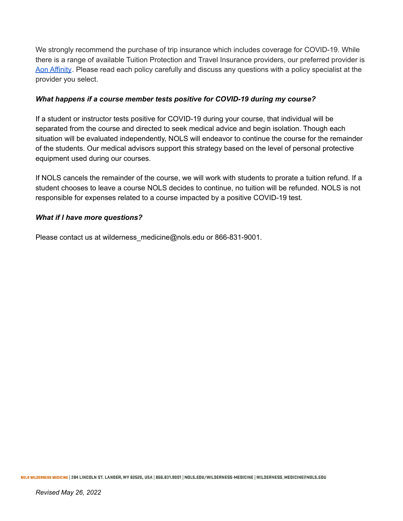We strongly recommend the purchase of trip insurance which includes coverage for COVID-19. While there is a range of available Tuition Protection and Travel Insurance providers, our preferred provider is Aon [Affinity](https://www.mdmgroup.net/nols). Please read each policy carefully and discuss any questions with a policy specialist at the provider you select.

#### *What happens if a course member tests positive for COVID-19 during my course?*

If a student or instructor tests positive for COVID-19 during your course, that individual will be separated from the course and directed to seek medical advice and begin isolation. Though each situation will be evaluated independently, NOLS will endeavor to continue the course for the remainder of the students. Our medical advisors support this strategy based on the level of personal protective equipment used during our courses.

If NOLS cancels the remainder of the course, we will work with students to prorate a tuition refund. If a student chooses to leave a course NOLS decides to continue, no tuition will be refunded. NOLS is not responsible for expenses related to a course impacted by a positive COVID-19 test.

#### *What if I have more questions?*

Please contact us at wilderness medicine@nols.edu or 866-831-9001.